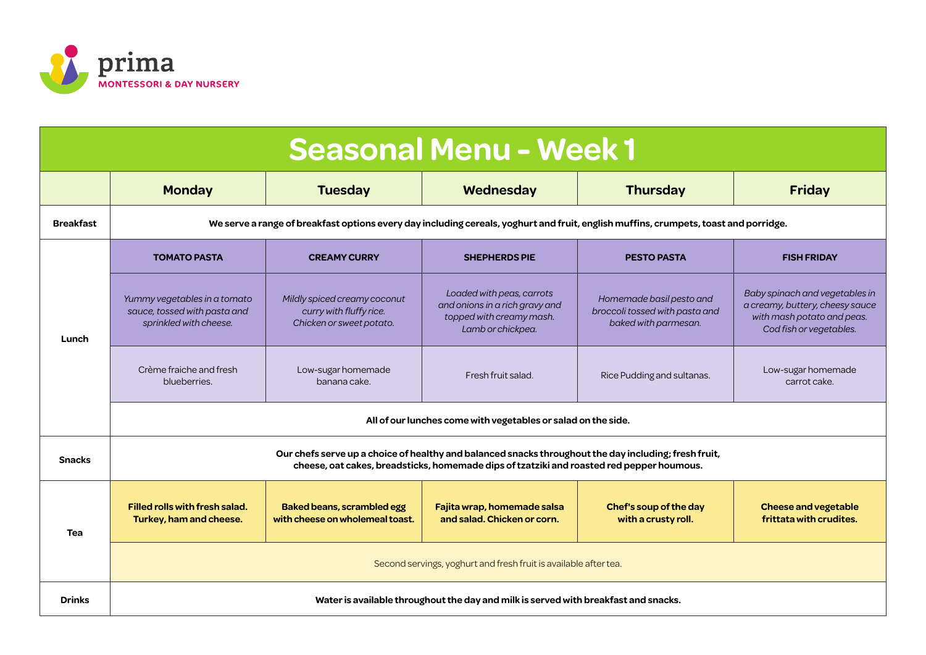

| <b>Seasonal Menu - Week 1</b> |                                                                                                                                                                                                    |                                                                                     |                                                                                                              |                                                                                    |                                                                                                                            |  |  |
|-------------------------------|----------------------------------------------------------------------------------------------------------------------------------------------------------------------------------------------------|-------------------------------------------------------------------------------------|--------------------------------------------------------------------------------------------------------------|------------------------------------------------------------------------------------|----------------------------------------------------------------------------------------------------------------------------|--|--|
|                               | <b>Monday</b>                                                                                                                                                                                      | <b>Tuesday</b>                                                                      | Wednesday                                                                                                    | <b>Thursday</b>                                                                    | <b>Friday</b>                                                                                                              |  |  |
| <b>Breakfast</b>              | We serve a range of breakfast options every day including cereals, yoghurt and fruit, english muffins, crumpets, toast and porridge.                                                               |                                                                                     |                                                                                                              |                                                                                    |                                                                                                                            |  |  |
| Lunch                         | <b>TOMATO PASTA</b>                                                                                                                                                                                | <b>CREAMY CURRY</b>                                                                 | <b>SHEPHERDS PIE</b>                                                                                         | <b>PESTO PASTA</b>                                                                 | <b>FISH FRIDAY</b>                                                                                                         |  |  |
|                               | Yummy vegetables in a tomato<br>sauce, tossed with pasta and<br>sprinkled with cheese.                                                                                                             | Mildly spiced creamy coconut<br>curry with fluffy rice.<br>Chicken or sweet potato. | Loaded with peas, carrots<br>and onions in a rich gravy and<br>topped with creamy mash.<br>Lamb or chickpea. | Homemade basil pesto and<br>broccoli tossed with pasta and<br>baked with parmesan. | Baby spinach and vegetables in<br>a creamy, buttery, cheesy sauce<br>with mash potato and peas.<br>Cod fish or vegetables. |  |  |
|                               | Crème fraiche and fresh<br>blueberries.                                                                                                                                                            | Low-sugar homemade<br>banana cake.                                                  | Fresh fruit salad.                                                                                           | Rice Pudding and sultanas.                                                         | Low-sugar homemade<br>carrot cake.                                                                                         |  |  |
|                               | All of our lunches come with vegetables or salad on the side.                                                                                                                                      |                                                                                     |                                                                                                              |                                                                                    |                                                                                                                            |  |  |
| <b>Snacks</b>                 | Our chefs serve up a choice of healthy and balanced snacks throughout the day including; fresh fruit,<br>cheese, oat cakes, breadsticks, homemade dips of tzatziki and roasted red pepper houmous. |                                                                                     |                                                                                                              |                                                                                    |                                                                                                                            |  |  |
| Tea                           | <b>Filled rolls with fresh salad.</b><br>Turkey, ham and cheese.                                                                                                                                   | <b>Baked beans, scrambled egg</b><br>with cheese on wholemeal toast.                | Fajita wrap, homemade salsa<br>and salad. Chicken or corn.                                                   | Chef's soup of the day<br>with a crusty roll.                                      | <b>Cheese and vegetable</b><br>frittata with crudites.                                                                     |  |  |
|                               | Second servings, yoghurt and fresh fruit is available after tea.                                                                                                                                   |                                                                                     |                                                                                                              |                                                                                    |                                                                                                                            |  |  |
| <b>Drinks</b>                 | Water is available throughout the day and milk is served with breakfast and snacks.                                                                                                                |                                                                                     |                                                                                                              |                                                                                    |                                                                                                                            |  |  |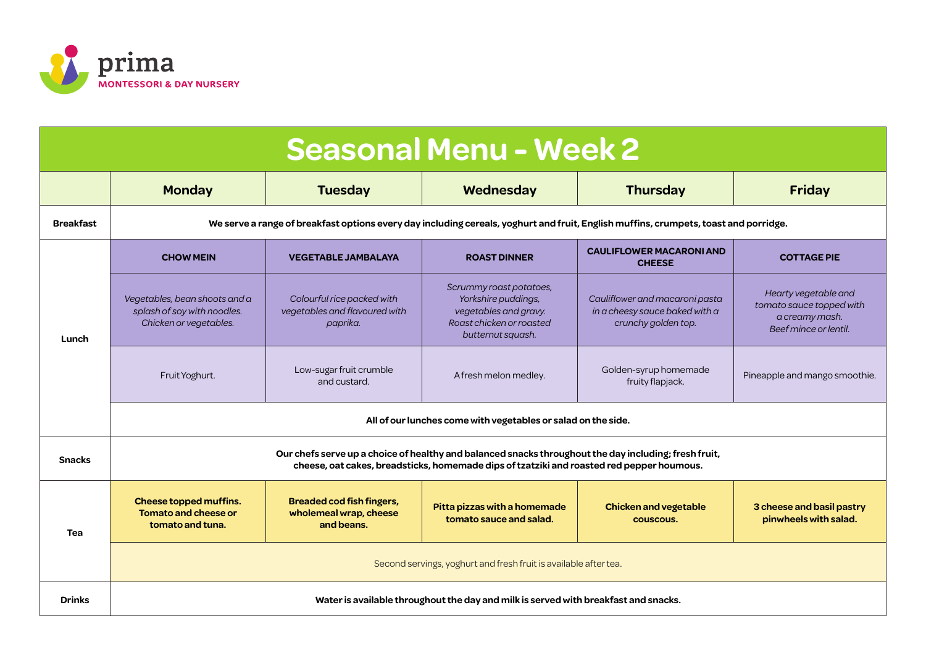

| <b>Seasonal Menu - Week 2</b> |                                                                                                                                                                                                    |                                                                          |                                                                                                                          |                                                                                         |                                                                                             |  |  |
|-------------------------------|----------------------------------------------------------------------------------------------------------------------------------------------------------------------------------------------------|--------------------------------------------------------------------------|--------------------------------------------------------------------------------------------------------------------------|-----------------------------------------------------------------------------------------|---------------------------------------------------------------------------------------------|--|--|
|                               | <b>Monday</b>                                                                                                                                                                                      | <b>Tuesday</b>                                                           | Wednesday                                                                                                                | <b>Thursday</b>                                                                         | <b>Friday</b>                                                                               |  |  |
| <b>Breakfast</b>              | We serve a range of breakfast options every day including cereals, yoghurt and fruit, English muffins, crumpets, toast and porridge.                                                               |                                                                          |                                                                                                                          |                                                                                         |                                                                                             |  |  |
| Lunch                         | <b>CHOW MEIN</b>                                                                                                                                                                                   | <b>VEGETABLE JAMBALAYA</b>                                               | <b>ROAST DINNER</b>                                                                                                      | <b>CAULIFLOWER MACARONI AND</b><br><b>CHEESE</b>                                        | <b>COTTAGE PIE</b>                                                                          |  |  |
|                               | Vegetables, bean shoots and a<br>splash of soy with noodles.<br>Chicken or vegetables.                                                                                                             | Colourful rice packed with<br>vegetables and flavoured with<br>paprika.  | Scrummy roast potatoes,<br>Yorkshire puddings,<br>vegetables and gravy.<br>Roast chicken or roasted<br>butternut squash. | Cauliflower and macaroni pasta<br>in a cheesy sauce baked with a<br>crunchy golden top. | Hearty vegetable and<br>tomato sauce topped with<br>a creamy mash.<br>Beef mince or lentil. |  |  |
|                               | Fruit Yoghurt.                                                                                                                                                                                     | Low-sugar fruit crumble<br>and custard.                                  | A fresh melon medley.                                                                                                    | Golden-syrup homemade<br>fruity flapjack.                                               | Pineapple and mango smoothie.                                                               |  |  |
|                               | All of our lunches come with vegetables or salad on the side.                                                                                                                                      |                                                                          |                                                                                                                          |                                                                                         |                                                                                             |  |  |
| <b>Snacks</b>                 | Our chefs serve up a choice of healthy and balanced snacks throughout the day including; fresh fruit,<br>cheese, oat cakes, breadsticks, homemade dips of tzatziki and roasted red pepper houmous. |                                                                          |                                                                                                                          |                                                                                         |                                                                                             |  |  |
| <b>Tea</b>                    | Cheese topped muffins.<br><b>Tomato and cheese or</b><br>tomato and tuna.                                                                                                                          | <b>Breaded cod fish fingers,</b><br>wholemeal wrap, cheese<br>and beans. | Pitta pizzas with a homemade<br>tomato sauce and salad.                                                                  | <b>Chicken and vegetable</b><br>couscous.                                               | 3 cheese and basil pastry<br>pinwheels with salad.                                          |  |  |
|                               | Second servings, yoghurt and fresh fruit is available after tea.                                                                                                                                   |                                                                          |                                                                                                                          |                                                                                         |                                                                                             |  |  |
| <b>Drinks</b>                 | Water is available throughout the day and milk is served with breakfast and snacks.                                                                                                                |                                                                          |                                                                                                                          |                                                                                         |                                                                                             |  |  |